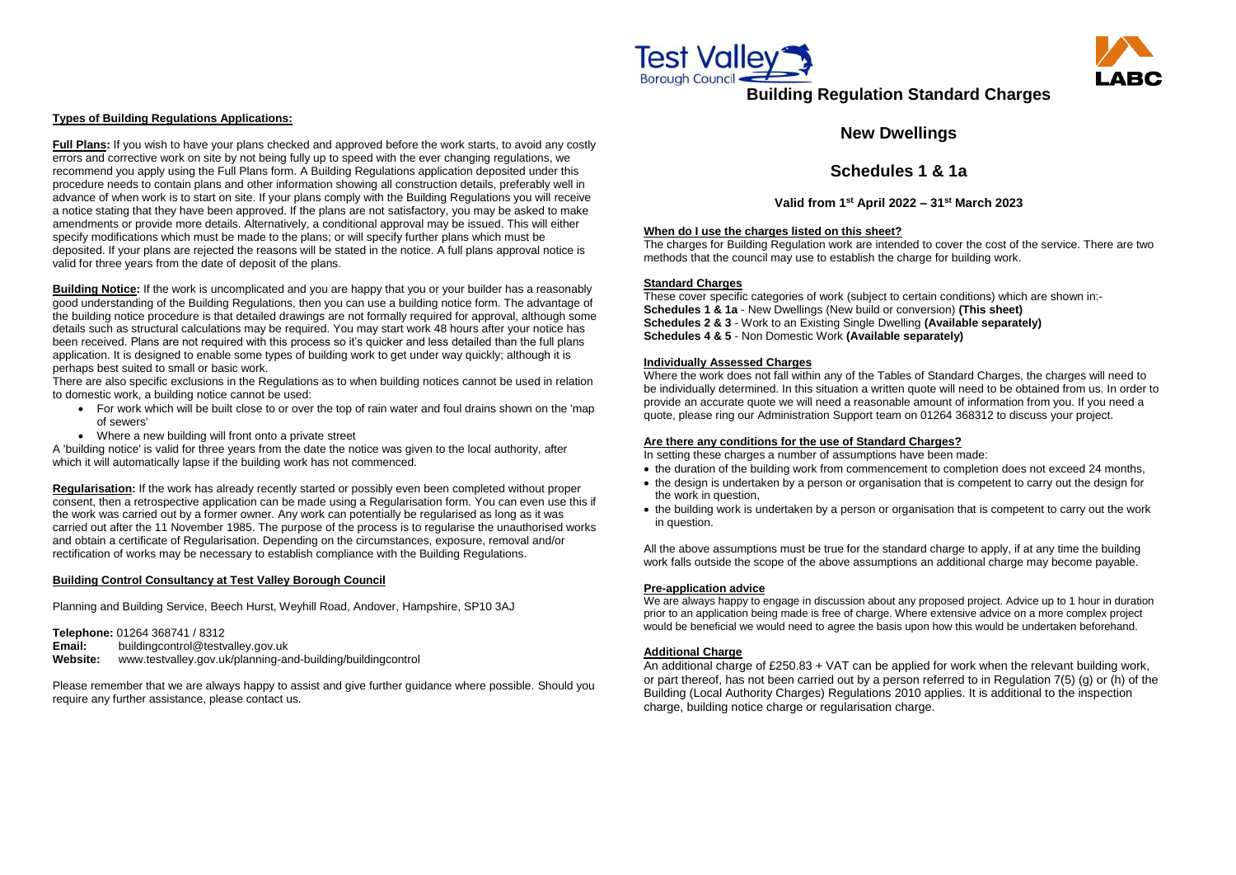#### **Types of Building Regulations Applications:**

**Full Plans:** If you wish to have your plans checked and approved before the work starts, to avoid any costly errors and corrective work on site by not being fully up to speed with the ever changing regulations, we recommend you apply using the Full Plans form. A Building Regulations application deposited under this procedure needs to contain plans and other information showing all construction details, preferably well in advance of when work is to start on site. If your plans comply with the Building Regulations you will receive a notice stating that they have been approved. If the plans are not satisfactory, you may be asked to make amendments or provide more details. Alternatively, a conditional approval may be issued. This will either specify modifications which must be made to the plans; or will specify further plans which must be deposited. If your plans are rejected the reasons will be stated in the notice. A full plans approval notice is valid for three years from the date of deposit of the plans.

A 'building notice' is valid for three years from the date the notice was given to the local authority, after which it will automatically lapse if the building work has not commenced.

**Building Notice:** If the work is uncomplicated and you are happy that you or your builder has a reasonably good understanding of the Building Regulations, then you can use a building notice form. The advantage of the building notice procedure is that detailed drawings are not formally required for approval, although some details such as structural calculations may be required. You may start work 48 hours after your notice has been received. Plans are not required with this process so it's quicker and less detailed than the full plans application. It is designed to enable some types of building work to get under way quickly; although it is perhaps best suited to small or basic work.

There are also specific exclusions in the Regulations as to when building notices cannot be used in relation to domestic work, a building notice cannot be used:

- For work which will be built close to or over the top of rain water and foul drains shown on the 'map of sewers'
- Where a new building will front onto a private street

**Regularisation:** If the work has already recently started or possibly even been completed without proper consent, then a retrospective application can be made using a Regularisation form. You can even use this if the work was carried out by a former owner. Any work can potentially be regularised as long as it was carried out after the 11 November 1985. The purpose of the process is to regularise the unauthorised works and obtain a certificate of Regularisation. Depending on the circumstances, exposure, removal and/or rectification of works may be necessary to establish compliance with the Building Regulations.

### **Building Control Consultancy at Test Valley Borough Council**

Planning and Building Service, Beech Hurst, Weyhill Road, Andover, Hampshire, SP10 3AJ

**Telephone:** 01264 368741 / 8312 **Email:** [buildingcontrol@testvalley.gov.uk](mailto:buildingcontrol@testvalley.gov.uk) **Website:** www.testvalley.gov.uk/planning-and-building/buildingcontrol

Please remember that we are always happy to assist and give further guidance where possible. Should you require any further assistance, please contact us.



# **Building Regulation Standard Charges**

## **New Dwellings**

## **Schedules 1 & 1a**

**Valid from 1st April 2022 – 31st March 2023**

#### **When do I use the charges listed on this sheet?**

The charges for Building Regulation work are intended to cover the cost of the service. There are two methods that the council may use to establish the charge for building work.

#### **Standard Charges**

These cover specific categories of work (subject to certain conditions) which are shown in:- **Schedules 1 & 1a** - New Dwellings (New build or conversion) **(This sheet) Schedules 2 & 3** - Work to an Existing Single Dwelling **(Available separately) Schedules 4 & 5** - Non Domestic Work **(Available separately)**

#### **Individually Assessed Charges**

Where the work does not fall within any of the Tables of Standard Charges, the charges will need to be individually determined. In this situation a written quote will need to be obtained from us. In order to provide an accurate quote we will need a reasonable amount of information from you. If you need a quote, please ring our Administration Support team on 01264 368312 to discuss your project.

### **Are there any conditions for the use of Standard Charges?**

In setting these charges a number of assumptions have been made:

- the design is undertaken by a person or organisation that is competent to carry out the design for the work in question,
- the building work is undertaken by a person or organisation that is competent to carry out the work in question.

All the above assumptions must be true for the standard charge to apply, if at any time the building work falls outside the scope of the above assumptions an additional charge may become payable.

### **Pre-application advice**

We are always happy to engage in discussion about any proposed project. Advice up to 1 hour in duration prior to an application being made is free of charge. Where extensive advice on a more complex project would be beneficial we would need to agree the basis upon how this would be undertaken beforehand.

### **Additional Charge**

An additional charge of £250.83 + VAT can be applied for work when the relevant building work, or part thereof, has not been carried out by a person referred to in Regulation 7(5) (g) or (h) of the Building (Local Authority Charges) Regulations 2010 applies. It is additional to the inspection charge, building notice charge or regularisation charge.



• the duration of the building work from commencement to completion does not exceed 24 months,